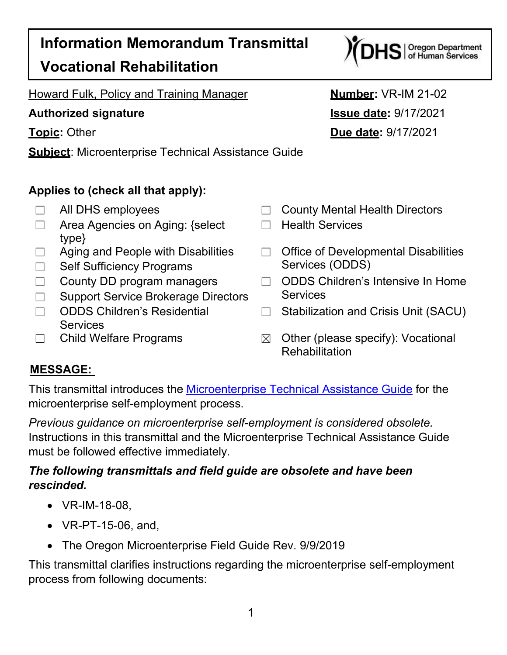# **Information Memorandum Transmittal Vocational Rehabilitation**

Howard Fulk, Policy and Training Manager **Number:** VR-IM 21-02

**Subject**: Microenterprise Technical Assistance Guide

## **Applies to (check all that apply):**

- 
- ☐ Area Agencies on Aging: {select type}
- 
- □ Self Sufficiency Programs Services (ODDS)
- 
- □ Support Service Brokerage Directors Services
- ☐ ODDS Children's Residential **Services**
- 
- **Authorized signature Issue date:** 9/17/2021 **Topic:** Other **Due date:** 9/17/2021
	- ☐ All DHS employees ☐ County Mental Health Directors
		- ☐ Health Services
	- ☐ Aging and People with Disabilities ☐ Office of Developmental Disabilities
	- ☐ County DD program managers ☐ ODDS Children's Intensive In Home
		- ☐ Stabilization and Crisis Unit (SACU)
	- ☐ Child Welfare Programs ☒ Other (please specify): Vocational **Rehabilitation**

## **MESSAGE:**

This transmittal introduces the [Microenterprise Technical Assistance Guide](https://dhsoha.sharepoint.com/:f:/r/teams/Hub-ODHS-VR/Shared%20Documents/Training/Microenterprise%20Technical%20Assistance%20Guide?csf=1&web=1&e=JF0Ix5) for the microenterprise self-employment process.

*Previous guidance on microenterprise self-employment is considered obsolete.* Instructions in this transmittal and the Microenterprise Technical Assistance Guide must be followed effective immediately.

### *The following transmittals and field guide are obsolete and have been rescinded.*

- VR-IM-18-08,
- VR-PT-15-06, and,
- The Oregon Microenterprise Field Guide Rev. 9/9/2019

This transmittal clarifies instructions regarding the microenterprise self-employment process from following documents:

# $DHS$  | Oregon Department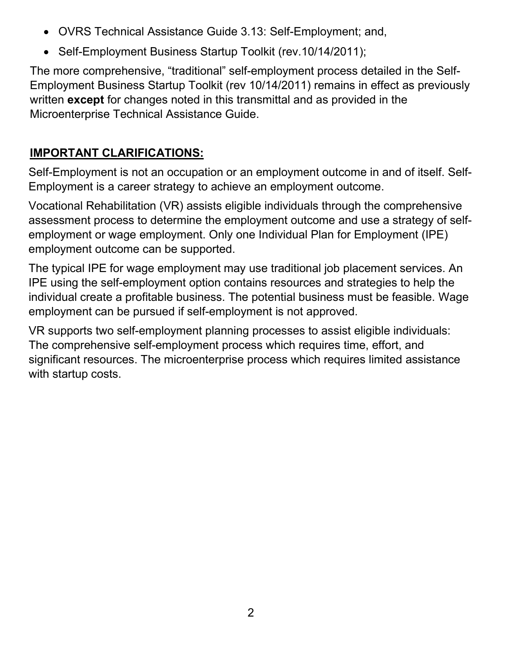- OVRS Technical Assistance Guide 3.13: Self-Employment; and,
- Self-Employment Business Startup Toolkit (rev. 10/14/2011);

The more comprehensive, "traditional" self-employment process detailed in the Self-Employment Business Startup Toolkit (rev 10/14/2011) remains in effect as previously written **except** for changes noted in this transmittal and as provided in the Microenterprise Technical Assistance Guide.

# **IMPORTANT CLARIFICATIONS:**

Self-Employment is not an occupation or an employment outcome in and of itself. Self-Employment is a career strategy to achieve an employment outcome.

Vocational Rehabilitation (VR) assists eligible individuals through the comprehensive assessment process to determine the employment outcome and use a strategy of selfemployment or wage employment. Only one Individual Plan for Employment (IPE) employment outcome can be supported.

The typical IPE for wage employment may use traditional job placement services. An IPE using the self-employment option contains resources and strategies to help the individual create a profitable business. The potential business must be feasible. Wage employment can be pursued if self-employment is not approved.

VR supports two self-employment planning processes to assist eligible individuals: The comprehensive self-employment process which requires time, effort, and significant resources. The microenterprise process which requires limited assistance with startup costs.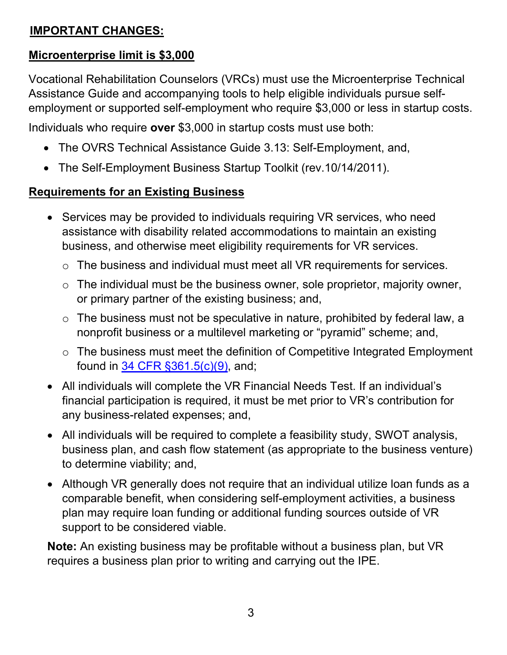### **IMPORTANT CHANGES:**

#### **Microenterprise limit is \$3,000**

Vocational Rehabilitation Counselors (VRCs) must use the Microenterprise Technical Assistance Guide and accompanying tools to help eligible individuals pursue selfemployment or supported self-employment who require \$3,000 or less in startup costs.

Individuals who require **over** \$3,000 in startup costs must use both:

- The OVRS Technical Assistance Guide 3.13: Self-Employment, and,
- The Self-Employment Business Startup Toolkit (rev.10/14/2011).

### **Requirements for an Existing Business**

- Services may be provided to individuals requiring VR services, who need assistance with disability related accommodations to maintain an existing business, and otherwise meet eligibility requirements for VR services.
	- o The business and individual must meet all VR requirements for services.
	- o The individual must be the business owner, sole proprietor, majority owner, or primary partner of the existing business; and,
	- $\circ$  The business must not be speculative in nature, prohibited by federal law, a nonprofit business or a multilevel marketing or "pyramid" scheme; and,
	- o The business must meet the definition of Competitive Integrated Employment found in [34 CFR §361.5\(c\)\(9\),](https://www.ecfr.gov/cgi-bin/text-idx?SID=235c058692c2222478abd91366e60459&mc=true&node=pt34.2.361&rgn=div5%23se34.2.361_15) and;
- All individuals will complete the VR Financial Needs Test. If an individual's financial participation is required, it must be met prior to VR's contribution for any business-related expenses; and,
- All individuals will be required to complete a feasibility study, SWOT analysis, business plan, and cash flow statement (as appropriate to the business venture) to determine viability; and,
- Although VR generally does not require that an individual utilize loan funds as a comparable benefit, when considering self-employment activities, a business plan may require loan funding or additional funding sources outside of VR support to be considered viable.

**Note:** An existing business may be profitable without a business plan, but VR requires a business plan prior to writing and carrying out the IPE.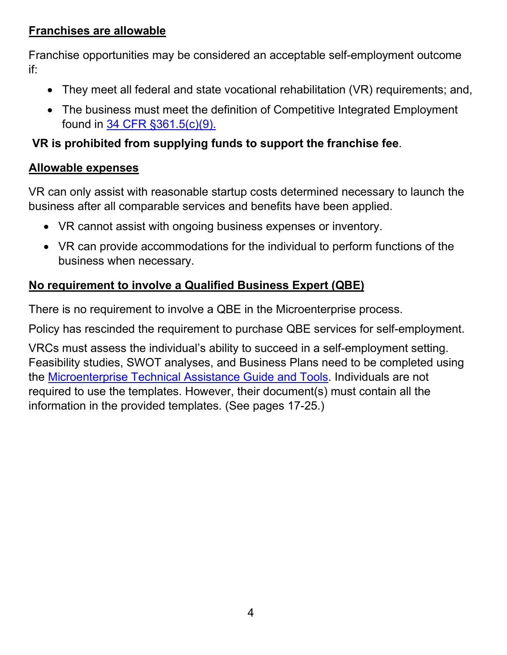#### **Franchises are allowable**

Franchise opportunities may be considered an acceptable self-employment outcome if:

- They meet all federal and state vocational rehabilitation (VR) requirements; and,
- The business must meet the definition of Competitive Integrated Employment found in [34 CFR §361.5\(c\)\(9\).](https://www.ecfr.gov/cgi-bin/text-idx?SID=235c058692c2222478abd91366e60459&mc=true&node=pt34.2.361&rgn=div5%23se34.2.361_15)

#### **VR is prohibited from supplying funds to support the franchise fee**.

#### **Allowable expenses**

VR can only assist with reasonable startup costs determined necessary to launch the business after all comparable services and benefits have been applied.

- VR cannot assist with ongoing business expenses or inventory.
- VR can provide accommodations for the individual to perform functions of the business when necessary.

### **No requirement to involve a Qualified Business Expert (QBE)**

There is no requirement to involve a QBE in the Microenterprise process.

Policy has rescinded the requirement to purchase QBE services for self-employment.

VRCs must assess the individual's ability to succeed in a self-employment setting. Feasibility studies, SWOT analyses, and Business Plans need to be completed using the [Microenterprise Technical Assistance Guide and Tools.](https://dhsoha.sharepoint.com/:f:/r/teams/Hub-ODHS-VR/Shared%20Documents/Training/Microenterprise%20Technical%20Assistance%20Guide?csf=1&web=1&e=JF0Ix5) Individuals are not required to use the templates. However, their document(s) must contain all the information in the provided templates. (See pages 17-25.)